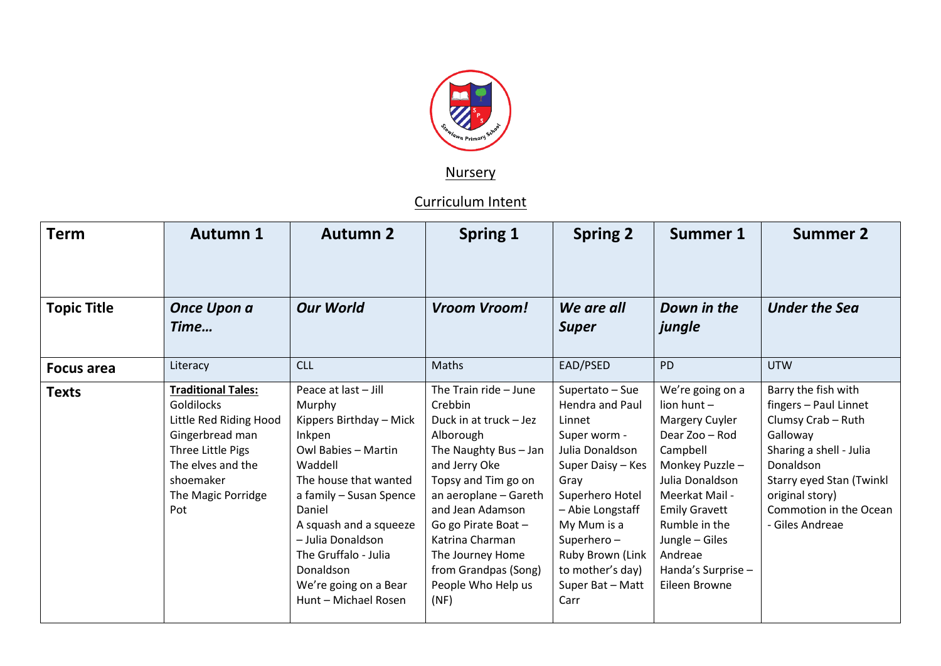

**Nursery** 

Curriculum Intent

| <b>Term</b>        | <b>Autumn 1</b>                                                                                                                                                                 | <b>Autumn 2</b>                                                                                                                                                                                                                                                                                          | <b>Spring 1</b>                                                                                                                                                                                                                                                                                           | <b>Spring 2</b>                                                                                                                                                                                                                                      | <b>Summer 1</b>                                                                                                                                                                                                                                     | <b>Summer 2</b>                                                                                                                                                                                                    |
|--------------------|---------------------------------------------------------------------------------------------------------------------------------------------------------------------------------|----------------------------------------------------------------------------------------------------------------------------------------------------------------------------------------------------------------------------------------------------------------------------------------------------------|-----------------------------------------------------------------------------------------------------------------------------------------------------------------------------------------------------------------------------------------------------------------------------------------------------------|------------------------------------------------------------------------------------------------------------------------------------------------------------------------------------------------------------------------------------------------------|-----------------------------------------------------------------------------------------------------------------------------------------------------------------------------------------------------------------------------------------------------|--------------------------------------------------------------------------------------------------------------------------------------------------------------------------------------------------------------------|
| <b>Topic Title</b> | Once Upon a<br>Time                                                                                                                                                             | <b>Our World</b>                                                                                                                                                                                                                                                                                         | Vroom Vroom!                                                                                                                                                                                                                                                                                              | We are all<br><b>Super</b>                                                                                                                                                                                                                           | Down in the<br>jungle                                                                                                                                                                                                                               | <b>Under the Sea</b>                                                                                                                                                                                               |
| <b>Focus area</b>  | Literacy                                                                                                                                                                        | <b>CLL</b>                                                                                                                                                                                                                                                                                               | Maths                                                                                                                                                                                                                                                                                                     | EAD/PSED                                                                                                                                                                                                                                             | <b>PD</b>                                                                                                                                                                                                                                           | <b>UTW</b>                                                                                                                                                                                                         |
| <b>Texts</b>       | <b>Traditional Tales:</b><br><b>Goldilocks</b><br>Little Red Riding Hood<br>Gingerbread man<br>Three Little Pigs<br>The elves and the<br>shoemaker<br>The Magic Porridge<br>Pot | Peace at last - Jill<br>Murphy<br>Kippers Birthday - Mick<br>Inkpen<br>Owl Babies - Martin<br>Waddell<br>The house that wanted<br>a family - Susan Spence<br>Daniel<br>A squash and a squeeze<br>- Julia Donaldson<br>The Gruffalo - Julia<br>Donaldson<br>We're going on a Bear<br>Hunt - Michael Rosen | The Train ride - June<br>Crebbin<br>Duck in at truck - Jez<br>Alborough<br>The Naughty Bus - Jan<br>and Jerry Oke<br>Topsy and Tim go on<br>an aeroplane - Gareth<br>and Jean Adamson<br>Go go Pirate Boat -<br>Katrina Charman<br>The Journey Home<br>from Grandpas (Song)<br>People Who Help us<br>(NF) | Supertato - Sue<br>Hendra and Paul<br>Linnet<br>Super worm -<br>Julia Donaldson<br>Super Daisy - Kes<br>Gray<br>Superhero Hotel<br>- Abie Longstaff<br>My Mum is a<br>Superhero-<br>Ruby Brown (Link<br>to mother's day)<br>Super Bat - Matt<br>Carr | We're going on a<br>lion hunt-<br>Margery Cuyler<br>Dear Zoo - Rod<br>Campbell<br>Monkey Puzzle -<br>Julia Donaldson<br>Meerkat Mail -<br><b>Emily Gravett</b><br>Rumble in the<br>Jungle - Giles<br>Andreae<br>Handa's Surprise -<br>Eileen Browne | Barry the fish with<br>fingers - Paul Linnet<br>Clumsy Crab - Ruth<br>Galloway<br>Sharing a shell - Julia<br>Donaldson<br>Starry eyed Stan (Twinkl<br>original story)<br>Commotion in the Ocean<br>- Giles Andreae |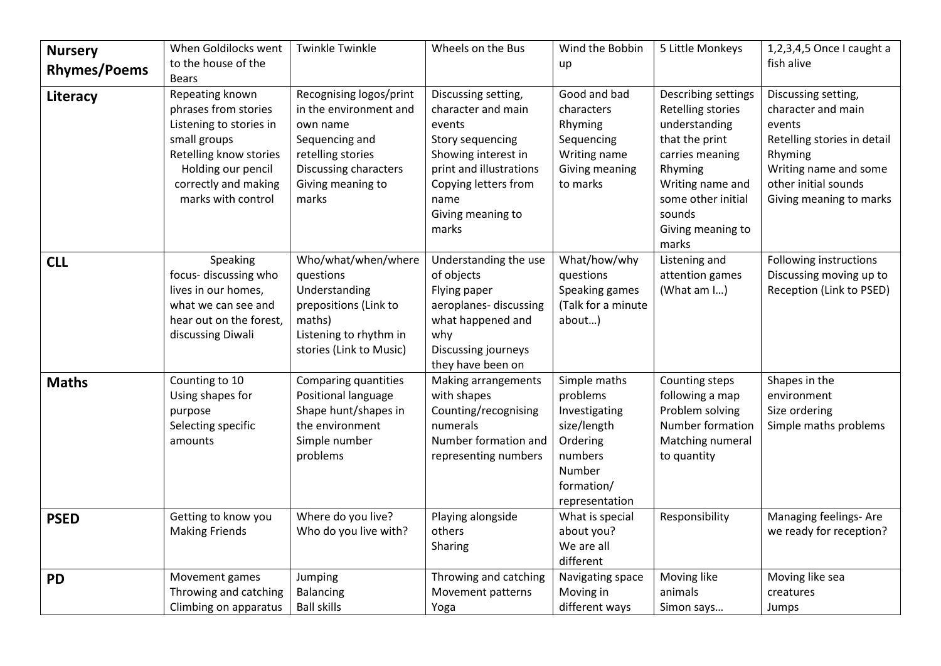| <b>Nursery</b><br><b>Rhymes/Poems</b><br>Literacy | When Goldilocks went<br>to the house of the<br><b>Bears</b><br>Repeating known                                                                                | <b>Twinkle Twinkle</b><br>Recognising logos/print                                                                                         | Wheels on the Bus<br>Discussing setting,                                                                                                                         | Wind the Bobbin<br>up<br>Good and bad                                                                                     | 5 Little Monkeys<br>Describing settings                                                                                                                              | 1,2,3,4,5 Once I caught a<br>fish alive<br>Discussing setting,                                                                                     |
|---------------------------------------------------|---------------------------------------------------------------------------------------------------------------------------------------------------------------|-------------------------------------------------------------------------------------------------------------------------------------------|------------------------------------------------------------------------------------------------------------------------------------------------------------------|---------------------------------------------------------------------------------------------------------------------------|----------------------------------------------------------------------------------------------------------------------------------------------------------------------|----------------------------------------------------------------------------------------------------------------------------------------------------|
|                                                   | phrases from stories<br>Listening to stories in<br>small groups<br>Retelling know stories<br>Holding our pencil<br>correctly and making<br>marks with control | in the environment and<br>own name<br>Sequencing and<br>retelling stories<br>Discussing characters<br>Giving meaning to<br>marks          | character and main<br>events<br>Story sequencing<br>Showing interest in<br>print and illustrations<br>Copying letters from<br>name<br>Giving meaning to<br>marks | characters<br>Rhyming<br>Sequencing<br>Writing name<br>Giving meaning<br>to marks                                         | Retelling stories<br>understanding<br>that the print<br>carries meaning<br>Rhyming<br>Writing name and<br>some other initial<br>sounds<br>Giving meaning to<br>marks | character and main<br>events<br>Retelling stories in detail<br>Rhyming<br>Writing name and some<br>other initial sounds<br>Giving meaning to marks |
| <b>CLL</b>                                        | Speaking<br>focus- discussing who<br>lives in our homes,<br>what we can see and<br>hear out on the forest,<br>discussing Diwali                               | Who/what/when/where<br>questions<br>Understanding<br>prepositions (Link to<br>maths)<br>Listening to rhythm in<br>stories (Link to Music) | Understanding the use<br>of objects<br>Flying paper<br>aeroplanes-discussing<br>what happened and<br>why<br>Discussing journeys<br>they have been on             | What/how/why<br>questions<br>Speaking games<br>(Talk for a minute<br>about)                                               | Listening and<br>attention games<br>(What am I)                                                                                                                      | Following instructions<br>Discussing moving up to<br>Reception (Link to PSED)                                                                      |
| <b>Maths</b>                                      | Counting to 10<br>Using shapes for<br>purpose<br>Selecting specific<br>amounts                                                                                | <b>Comparing quantities</b><br>Positional language<br>Shape hunt/shapes in<br>the environment<br>Simple number<br>problems                | <b>Making arrangements</b><br>with shapes<br>Counting/recognising<br>numerals<br>Number formation and<br>representing numbers                                    | Simple maths<br>problems<br>Investigating<br>size/length<br>Ordering<br>numbers<br>Number<br>formation/<br>representation | Counting steps<br>following a map<br>Problem solving<br>Number formation<br>Matching numeral<br>to quantity                                                          | Shapes in the<br>environment<br>Size ordering<br>Simple maths problems                                                                             |
| <b>PSED</b>                                       | Getting to know you<br><b>Making Friends</b>                                                                                                                  | Where do you live?<br>Who do you live with?                                                                                               | Playing alongside<br>others<br>Sharing                                                                                                                           | What is special<br>about you?<br>We are all<br>different                                                                  | Responsibility                                                                                                                                                       | Managing feelings- Are<br>we ready for reception?                                                                                                  |
| <b>PD</b>                                         | Movement games<br>Throwing and catching<br>Climbing on apparatus                                                                                              | Jumping<br><b>Balancing</b><br><b>Ball skills</b>                                                                                         | Throwing and catching<br>Movement patterns<br>Yoga                                                                                                               | Navigating space<br>Moving in<br>different ways                                                                           | Moving like<br>animals<br>Simon says                                                                                                                                 | Moving like sea<br>creatures<br>Jumps                                                                                                              |